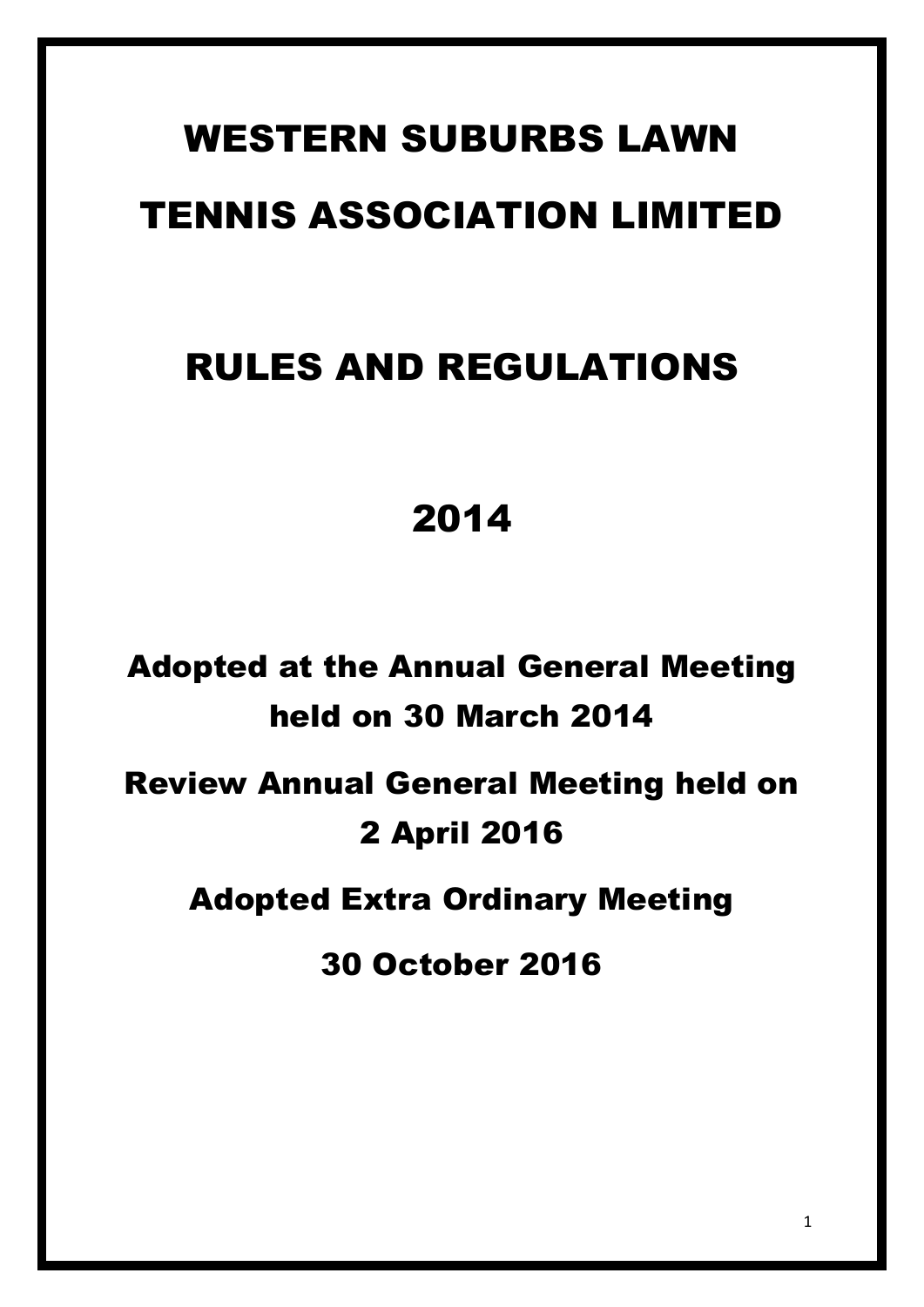# WESTERN SUBURBS LAWN TENNIS ASSOCIATION LIMITED

## RULES AND REGULATIONS

## 2014

Adopted at the Annual General Meeting held on 30 March 2014 Review Annual General Meeting held on

### 2 April 2016

Adopted Extra Ordinary Meeting

30 October 2016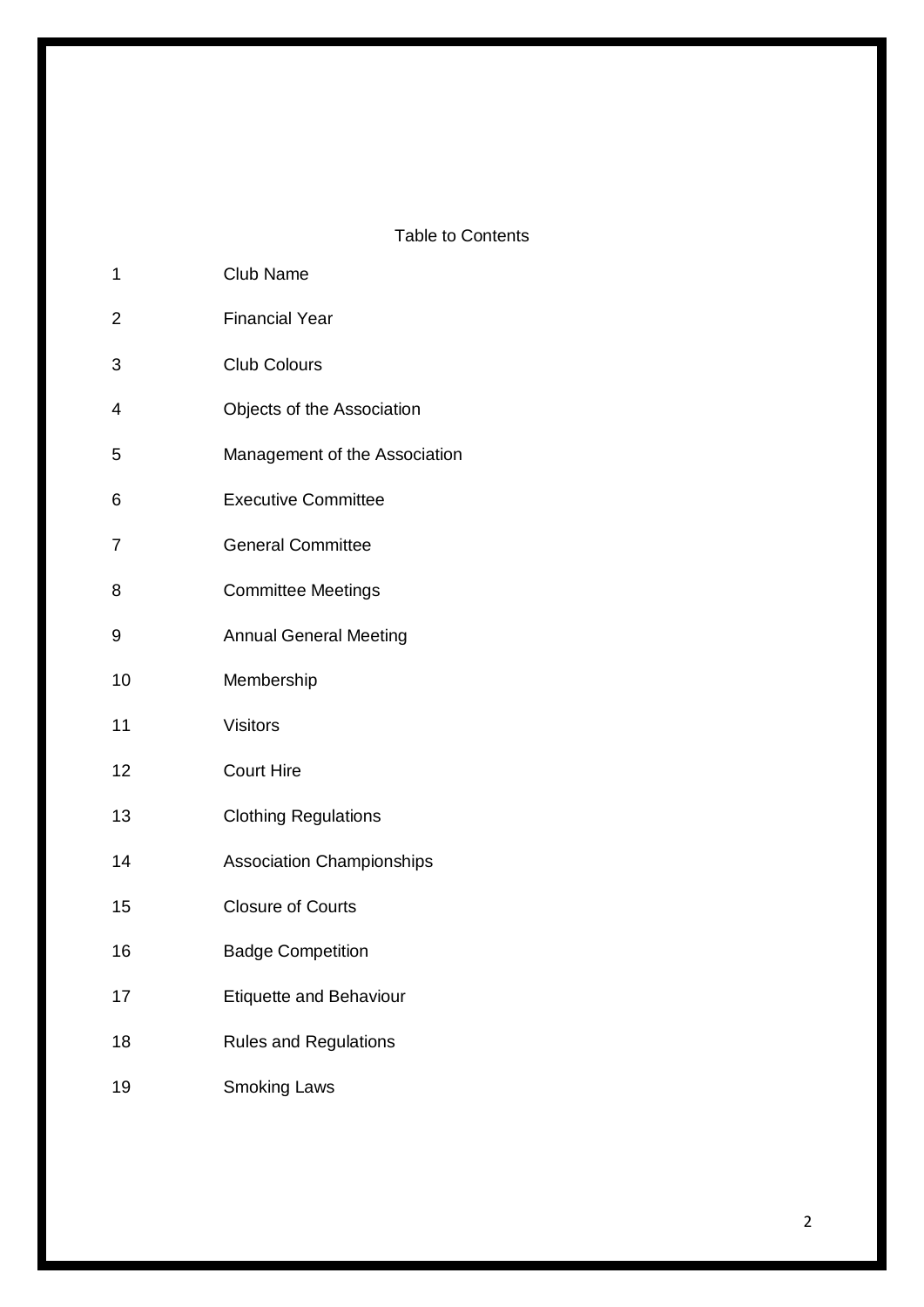#### Table to Contents

| 1              | <b>Club Name</b>                 |
|----------------|----------------------------------|
| $\overline{c}$ | <b>Financial Year</b>            |
| 3              | <b>Club Colours</b>              |
| 4              | Objects of the Association       |
| 5              | Management of the Association    |
| 6              | <b>Executive Committee</b>       |
| 7              | <b>General Committee</b>         |
| 8              | <b>Committee Meetings</b>        |
| 9              | <b>Annual General Meeting</b>    |
| 10             | Membership                       |
| 11             | <b>Visitors</b>                  |
| 12             | <b>Court Hire</b>                |
| 13             | <b>Clothing Regulations</b>      |
| 14             | <b>Association Championships</b> |
| 15             | <b>Closure of Courts</b>         |
| 16             | <b>Badge Competition</b>         |
| 17             | <b>Etiquette and Behaviour</b>   |
| 18             | <b>Rules and Regulations</b>     |
| 19             | <b>Smoking Laws</b>              |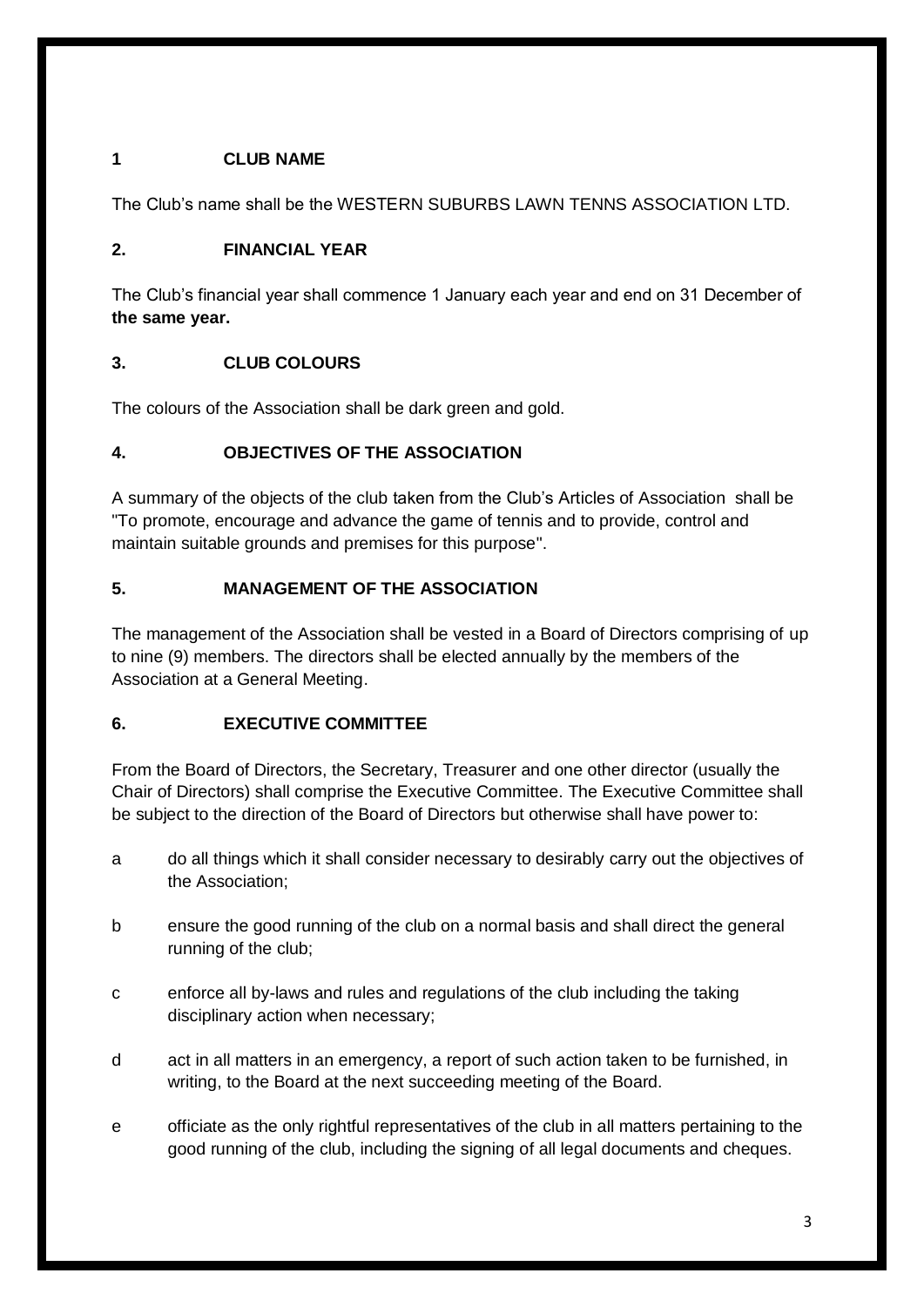#### **1 CLUB NAME**

The Club's name shall be the WESTERN SUBURBS LAWN TENNS ASSOCIATION LTD.

#### **2. FINANCIAL YEAR**

The Club's financial year shall commence 1 January each year and end on 31 December of **the same year.**

#### **3. CLUB COLOURS**

The colours of the Association shall be dark green and gold.

#### **4. OBJECTIVES OF THE ASSOCIATION**

A summary of the objects of the club taken from the Club's Articles of Association shall be "To promote, encourage and advance the game of tennis and to provide, control and maintain suitable grounds and premises for this purpose".

#### **5. MANAGEMENT OF THE ASSOCIATION**

The management of the Association shall be vested in a Board of Directors comprising of up to nine (9) members. The directors shall be elected annually by the members of the Association at a General Meeting.

#### **6. EXECUTIVE COMMITTEE**

From the Board of Directors, the Secretary, Treasurer and one other director (usually the Chair of Directors) shall comprise the Executive Committee. The Executive Committee shall be subject to the direction of the Board of Directors but otherwise shall have power to:

- a do all things which it shall consider necessary to desirably carry out the objectives of the Association;
- b ensure the good running of the club on a normal basis and shall direct the general running of the club;
- c enforce all by-laws and rules and regulations of the club including the taking disciplinary action when necessary;
- d act in all matters in an emergency, a report of such action taken to be furnished, in writing, to the Board at the next succeeding meeting of the Board.
- e officiate as the only rightful representatives of the club in all matters pertaining to the good running of the club, including the signing of all legal documents and cheques.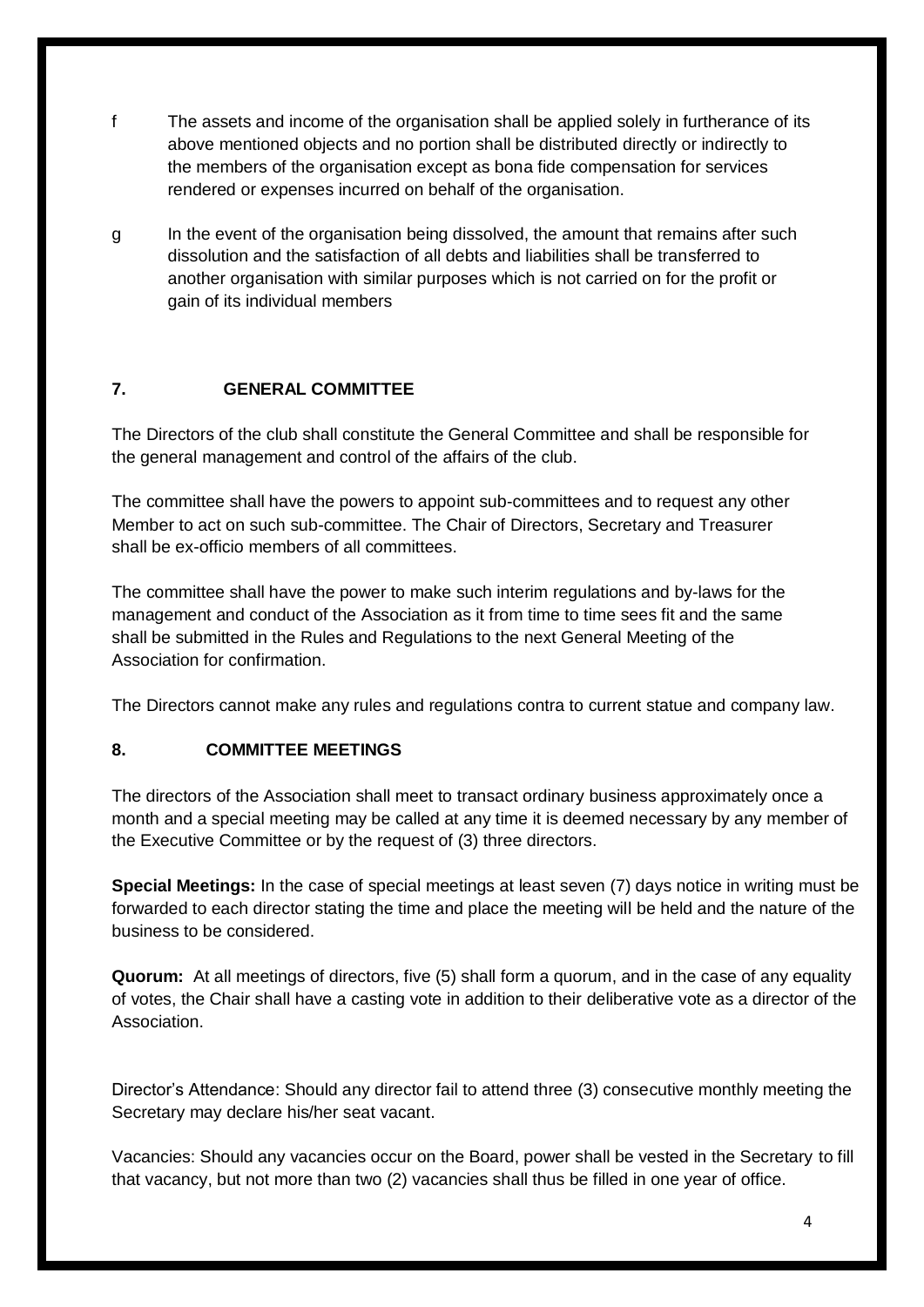- f The assets and income of the organisation shall be applied solely in furtherance of its above mentioned objects and no portion shall be distributed directly or indirectly to the members of the organisation except as bona fide compensation for services rendered or expenses incurred on behalf of the organisation.
- g In the event of the organisation being dissolved, the amount that remains after such dissolution and the satisfaction of all debts and liabilities shall be transferred to another organisation with similar purposes which is not carried on for the profit or gain of its individual members

#### **7. GENERAL COMMITTEE**

The Directors of the club shall constitute the General Committee and shall be responsible for the general management and control of the affairs of the club.

The committee shall have the powers to appoint sub-committees and to request any other Member to act on such sub-committee. The Chair of Directors, Secretary and Treasurer shall be ex-officio members of all committees.

The committee shall have the power to make such interim regulations and by-laws for the management and conduct of the Association as it from time to time sees fit and the same shall be submitted in the Rules and Regulations to the next General Meeting of the Association for confirmation.

The Directors cannot make any rules and regulations contra to current statue and company law.

#### **8. COMMITTEE MEETINGS**

The directors of the Association shall meet to transact ordinary business approximately once a month and a special meeting may be called at any time it is deemed necessary by any member of the Executive Committee or by the request of (3) three directors.

**Special Meetings:** In the case of special meetings at least seven (7) days notice in writing must be forwarded to each director stating the time and place the meeting will be held and the nature of the business to be considered.

**Quorum:** At all meetings of directors, five (5) shall form a quorum, and in the case of any equality of votes, the Chair shall have a casting vote in addition to their deliberative vote as a director of the Association.

Director's Attendance: Should any director fail to attend three (3) consecutive monthly meeting the Secretary may declare his/her seat vacant.

Vacancies: Should any vacancies occur on the Board, power shall be vested in the Secretary to fill that vacancy, but not more than two (2) vacancies shall thus be filled in one year of office.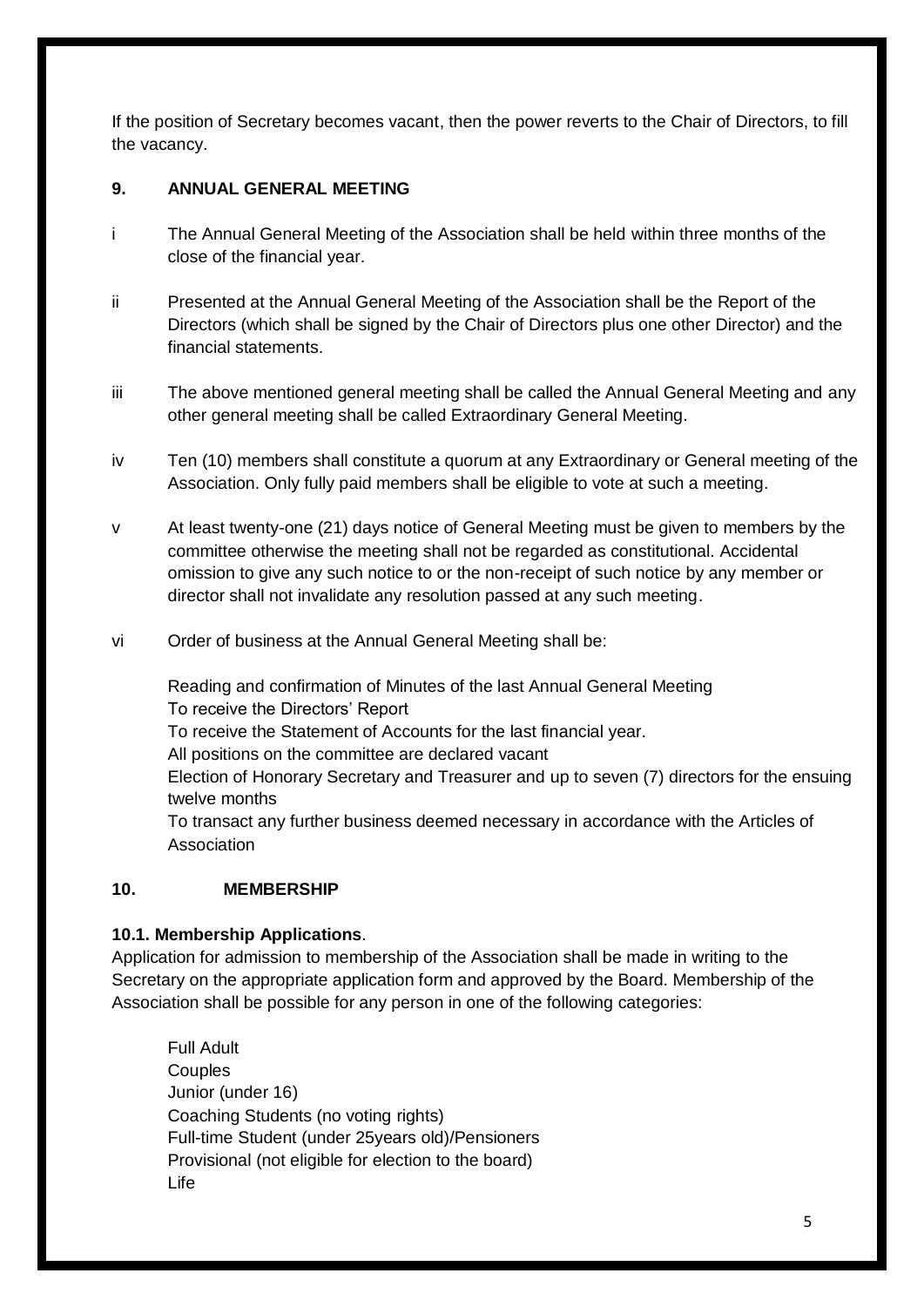If the position of Secretary becomes vacant, then the power reverts to the Chair of Directors, to fill the vacancy.

#### **9. ANNUAL GENERAL MEETING**

- i The Annual General Meeting of the Association shall be held within three months of the close of the financial year.
- ii Presented at the Annual General Meeting of the Association shall be the Report of the Directors (which shall be signed by the Chair of Directors plus one other Director) and the financial statements.
- iii The above mentioned general meeting shall be called the Annual General Meeting and any other general meeting shall be called Extraordinary General Meeting.
- iv Ten (10) members shall constitute a quorum at any Extraordinary or General meeting of the Association. Only fully paid members shall be eligible to vote at such a meeting.
- v At least twenty-one (21) days notice of General Meeting must be given to members by the committee otherwise the meeting shall not be regarded as constitutional. Accidental omission to give any such notice to or the non-receipt of such notice by any member or director shall not invalidate any resolution passed at any such meeting.
- vi Order of business at the Annual General Meeting shall be:

Reading and confirmation of Minutes of the last Annual General Meeting To receive the Directors' Report To receive the Statement of Accounts for the last financial year. All positions on the committee are declared vacant Election of Honorary Secretary and Treasurer and up to seven (7) directors for the ensuing twelve months To transact any further business deemed necessary in accordance with the Articles of Association

#### **10. MEMBERSHIP**

#### **10.1. Membership Applications**.

Application for admission to membership of the Association shall be made in writing to the Secretary on the appropriate application form and approved by the Board. Membership of the Association shall be possible for any person in one of the following categories:

Full Adult **Couples** Junior (under 16) Coaching Students (no voting rights) Full-time Student (under 25years old)/Pensioners Provisional (not eligible for election to the board) Life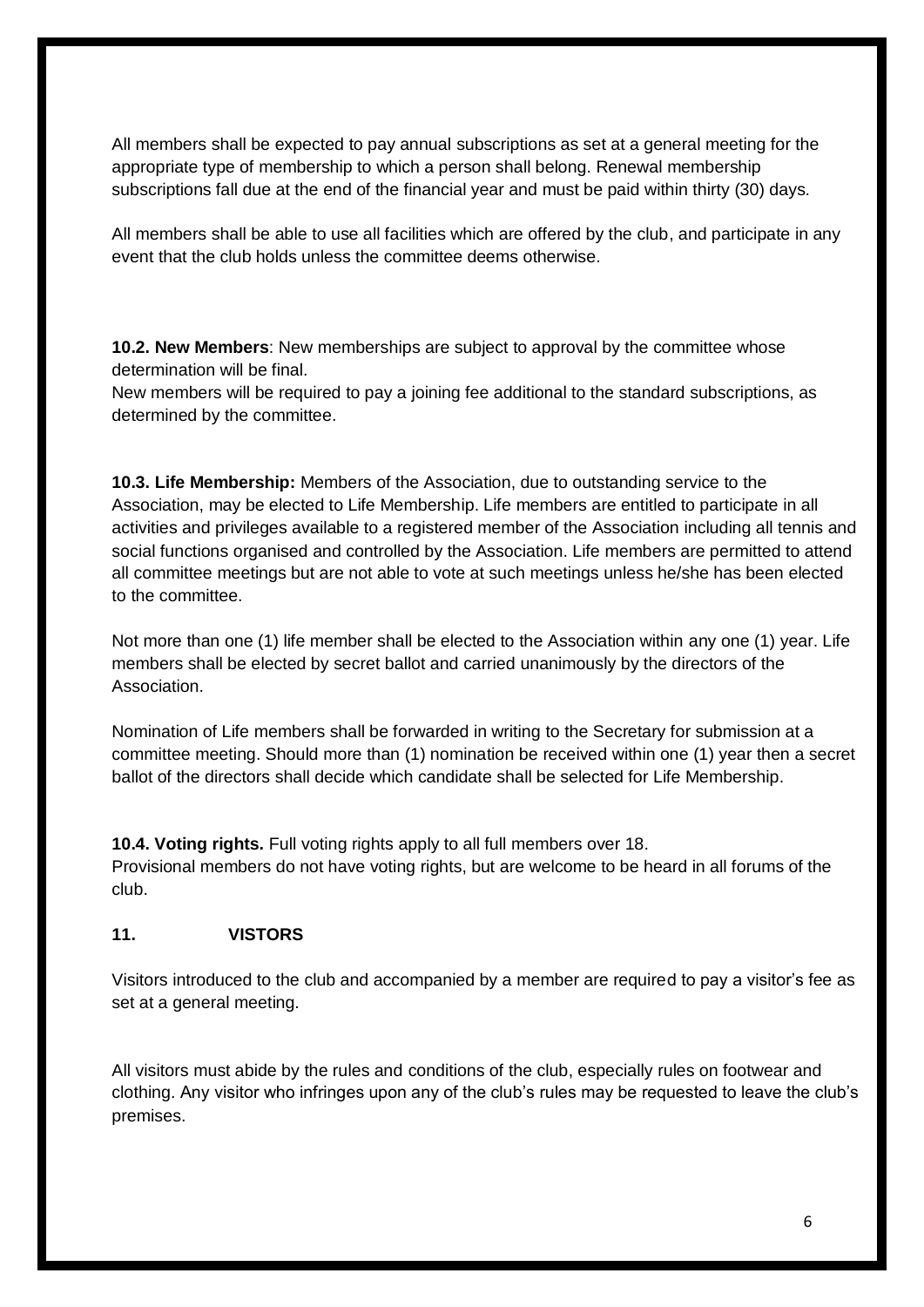All members shall be expected to pay annual subscriptions as set at a general meeting for the appropriate type of membership to which a person shall belong. Renewal membership subscriptions fall due at the end of the financial year and must be paid within thirty (30) days.

All members shall be able to use all facilities which are offered by the club, and participate in any event that the club holds unless the committee deems otherwise.

**10.2. New Members**: New memberships are subject to approval by the committee whose determination will be final.

New members will be required to pay a joining fee additional to the standard subscriptions, as determined by the committee.

**10.3. Life Membership:** Members of the Association, due to outstanding service to the Association, may be elected to Life Membership. Life members are entitled to participate in all activities and privileges available to a registered member of the Association including all tennis and social functions organised and controlled by the Association. Life members are permitted to attend all committee meetings but are not able to vote at such meetings unless he/she has been elected to the committee.

Not more than one (1) life member shall be elected to the Association within any one (1) year. Life members shall be elected by secret ballot and carried unanimously by the directors of the Association.

Nomination of Life members shall be forwarded in writing to the Secretary for submission at a committee meeting. Should more than (1) nomination be received within one (1) year then a secret ballot of the directors shall decide which candidate shall be selected for Life Membership.

**10.4. Voting rights.** Full voting rights apply to all full members over 18. Provisional members do not have voting rights, but are welcome to be heard in all forums of the club.

#### **11. VISTORS**

Visitors introduced to the club and accompanied by a member are required to pay a visitor's fee as set at a general meeting.

All visitors must abide by the rules and conditions of the club, especially rules on footwear and clothing. Any visitor who infringes upon any of the club's rules may be requested to leave the club's premises.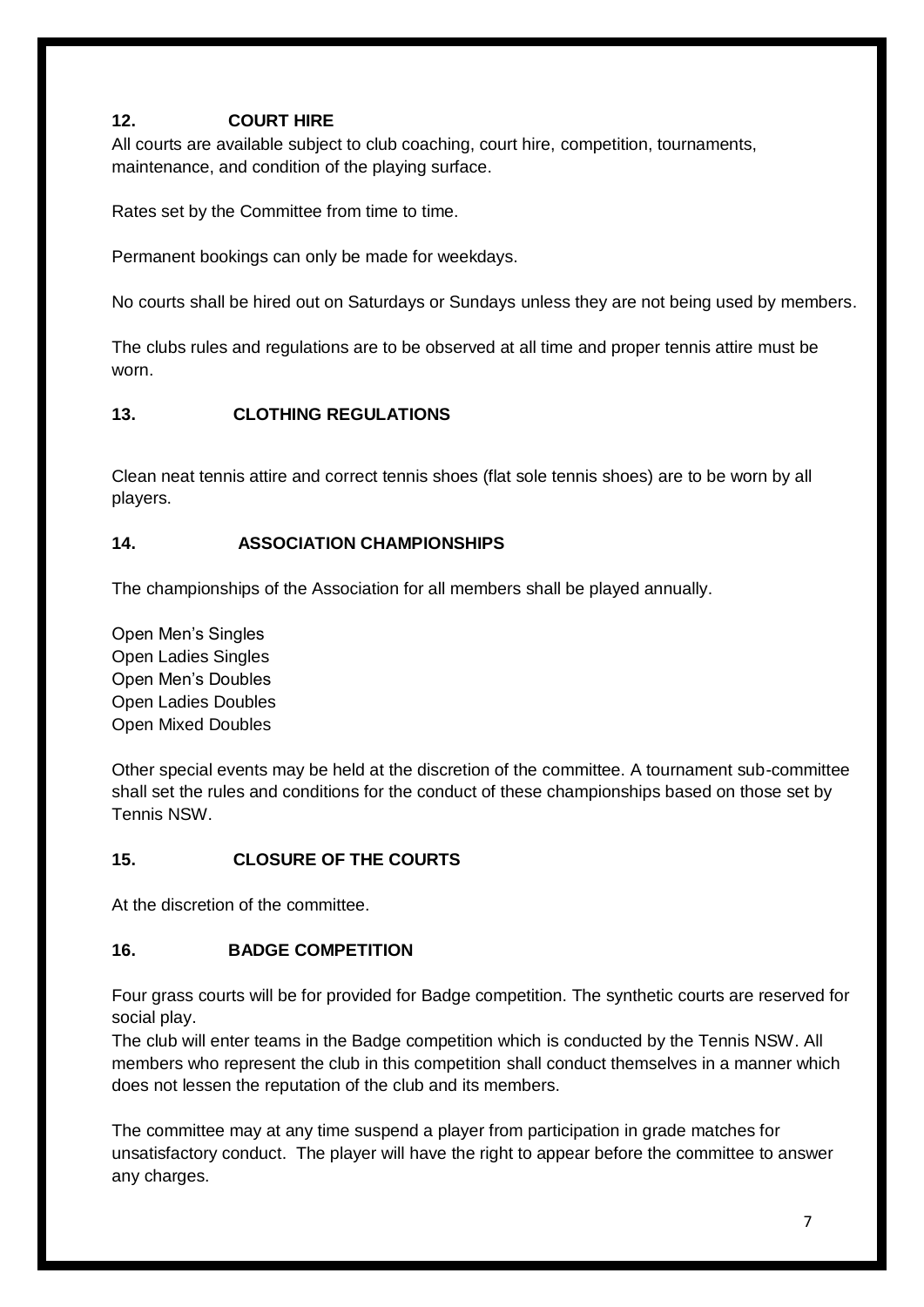#### **12. COURT HIRE**

All courts are available subject to club coaching, court hire, competition, tournaments, maintenance, and condition of the playing surface.

Rates set by the Committee from time to time.

Permanent bookings can only be made for weekdays.

No courts shall be hired out on Saturdays or Sundays unless they are not being used by members.

The clubs rules and regulations are to be observed at all time and proper tennis attire must be worn.

#### **13. CLOTHING REGULATIONS**

Clean neat tennis attire and correct tennis shoes (flat sole tennis shoes) are to be worn by all players.

#### **14. ASSOCIATION CHAMPIONSHIPS**

The championships of the Association for all members shall be played annually.

Open Men's Singles Open Ladies Singles Open Men's Doubles Open Ladies Doubles Open Mixed Doubles

Other special events may be held at the discretion of the committee. A tournament sub-committee shall set the rules and conditions for the conduct of these championships based on those set by Tennis NSW.

#### **15. CLOSURE OF THE COURTS**

At the discretion of the committee.

#### **16. BADGE COMPETITION**

Four grass courts will be for provided for Badge competition. The synthetic courts are reserved for social play.

The club will enter teams in the Badge competition which is conducted by the Tennis NSW. All members who represent the club in this competition shall conduct themselves in a manner which does not lessen the reputation of the club and its members.

The committee may at any time suspend a player from participation in grade matches for unsatisfactory conduct. The player will have the right to appear before the committee to answer any charges.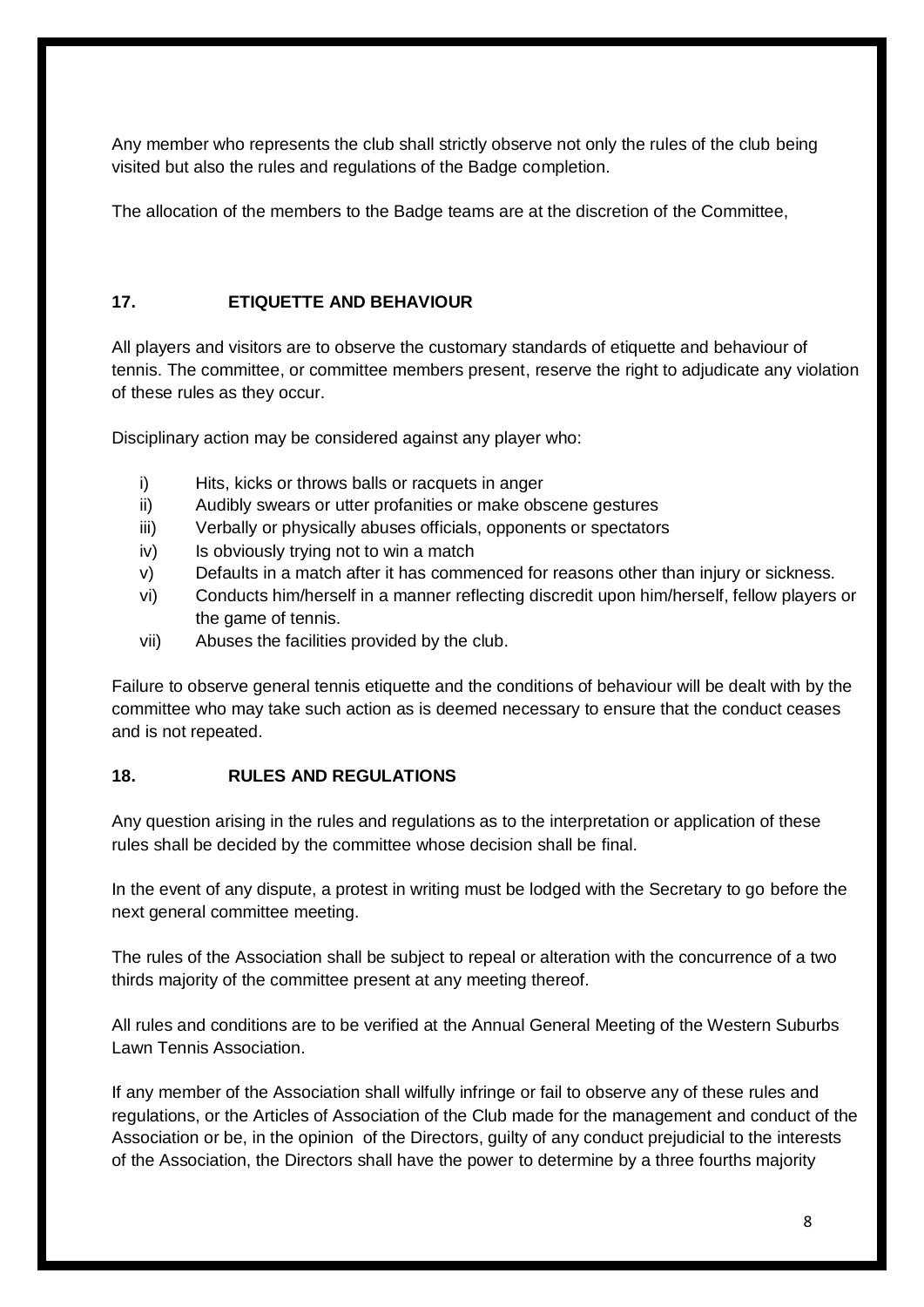Any member who represents the club shall strictly observe not only the rules of the club being visited but also the rules and regulations of the Badge completion.

The allocation of the members to the Badge teams are at the discretion of the Committee,

#### **17. ETIQUETTE AND BEHAVIOUR**

All players and visitors are to observe the customary standards of etiquette and behaviour of tennis. The committee, or committee members present, reserve the right to adjudicate any violation of these rules as they occur.

Disciplinary action may be considered against any player who:

- i) Hits, kicks or throws balls or racquets in anger
- ii) Audibly swears or utter profanities or make obscene gestures
- iii) Verbally or physically abuses officials, opponents or spectators
- iv) Is obviously trying not to win a match
- v) Defaults in a match after it has commenced for reasons other than injury or sickness.
- vi) Conducts him/herself in a manner reflecting discredit upon him/herself, fellow players or the game of tennis.
- vii) Abuses the facilities provided by the club.

Failure to observe general tennis etiquette and the conditions of behaviour will be dealt with by the committee who may take such action as is deemed necessary to ensure that the conduct ceases and is not repeated.

#### **18. RULES AND REGULATIONS**

Any question arising in the rules and regulations as to the interpretation or application of these rules shall be decided by the committee whose decision shall be final.

In the event of any dispute, a protest in writing must be lodged with the Secretary to go before the next general committee meeting.

The rules of the Association shall be subject to repeal or alteration with the concurrence of a two thirds majority of the committee present at any meeting thereof.

All rules and conditions are to be verified at the Annual General Meeting of the Western Suburbs Lawn Tennis Association.

If any member of the Association shall wilfully infringe or fail to observe any of these rules and regulations, or the Articles of Association of the Club made for the management and conduct of the Association or be, in the opinion of the Directors, guilty of any conduct prejudicial to the interests of the Association, the Directors shall have the power to determine by a three fourths majority